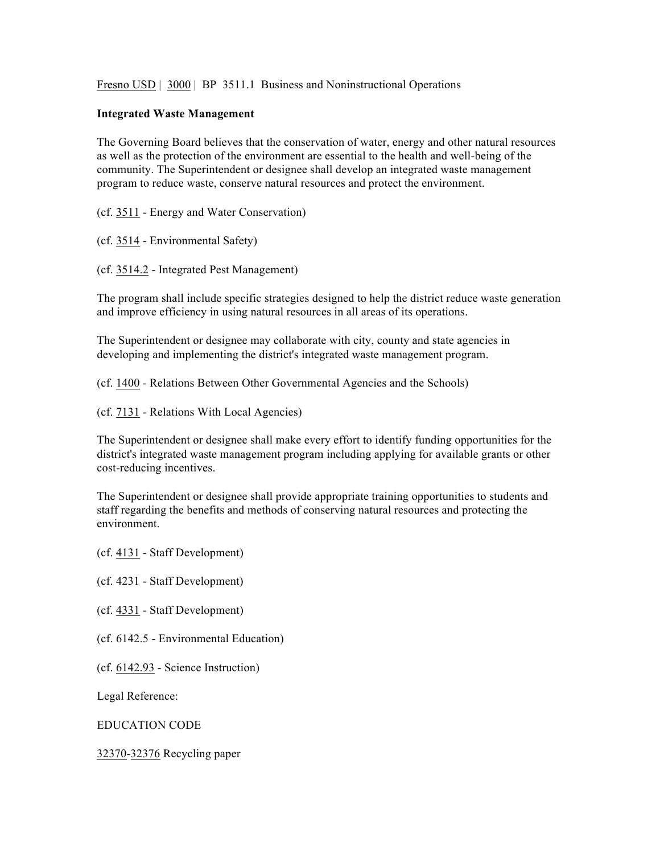Fresno USD | 3000 | BP 3511.1 Business and Noninstructional Operations

## **Integrated Waste Management**

The Governing Board believes that the conservation of water, energy and other natural resources as well as the protection of the environment are essential to the health and well-being of the community. The Superintendent or designee shall develop an integrated waste management program to reduce waste, conserve natural resources and protect the environment.

(cf. 3511 - Energy and Water Conservation)

(cf. 3514 - Environmental Safety)

(cf. 3514.2 - Integrated Pest Management)

The program shall include specific strategies designed to help the district reduce waste generation and improve efficiency in using natural resources in all areas of its operations.

The Superintendent or designee may collaborate with city, county and state agencies in developing and implementing the district's integrated waste management program.

(cf. 1400 - Relations Between Other Governmental Agencies and the Schools)

(cf. 7131 - Relations With Local Agencies)

The Superintendent or designee shall make every effort to identify funding opportunities for the district's integrated waste management program including applying for available grants or other cost-reducing incentives.

The Superintendent or designee shall provide appropriate training opportunities to students and staff regarding the benefits and methods of conserving natural resources and protecting the environment.

(cf. 4131 - Staff Development)

(cf. 4231 - Staff Development)

(cf. 4331 - Staff Development)

(cf. 6142.5 - Environmental Education)

(cf. 6142.93 - Science Instruction)

Legal Reference:

EDUCATION CODE

32370-32376 Recycling paper